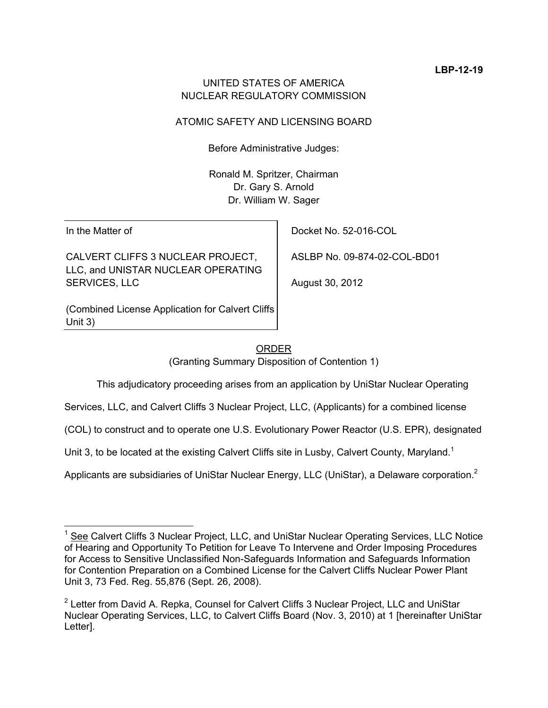# UNITED STATES OF AMERICA NUCLEAR REGULATORY COMMISSION

# ATOMIC SAFETY AND LICENSING BOARD

Before Administrative Judges:

Ronald M. Spritzer, Chairman Dr. Gary S. Arnold Dr. William W. Sager

In the Matter of

CALVERT CLIFFS 3 NUCLEAR PROJECT, LLC, and UNISTAR NUCLEAR OPERATING SERVICES, LLC

(Combined License Application for Calvert Cliffs Unit 3)

Docket No. 52-016-COL

ASLBP No. 09-874-02-COL-BD01

August 30, 2012

# ORDER

(Granting Summary Disposition of Contention 1)

This adjudicatory proceeding arises from an application by UniStar Nuclear Operating

Services, LLC, and Calvert Cliffs 3 Nuclear Project, LLC, (Applicants) for a combined license

(COL) to construct and to operate one U.S. Evolutionary Power Reactor (U.S. EPR), designated

Unit 3, to be located at the existing Calvert Cliffs site in Lusby, Calvert County, Maryland.<sup>1</sup>

Applicants are subsidiaries of UniStar Nuclear Energy, LLC (UniStar), a Delaware corporation.<sup>2</sup>

<sup>1</sup> See Calvert Cliffs 3 Nuclear Project, LLC, and UniStar Nuclear Operating Services, LLC Notice of Hearing and Opportunity To Petition for Leave To Intervene and Order Imposing Procedures for Access to Sensitive Unclassified Non-Safeguards Information and Safeguards Information for Contention Preparation on a Combined License for the Calvert Cliffs Nuclear Power Plant Unit 3, 73 Fed. Reg. 55,876 (Sept. 26, 2008).

<sup>&</sup>lt;sup>2</sup> Letter from David A. Repka, Counsel for Calvert Cliffs 3 Nuclear Project, LLC and UniStar Nuclear Operating Services, LLC, to Calvert Cliffs Board (Nov. 3, 2010) at 1 [hereinafter UniStar Letter].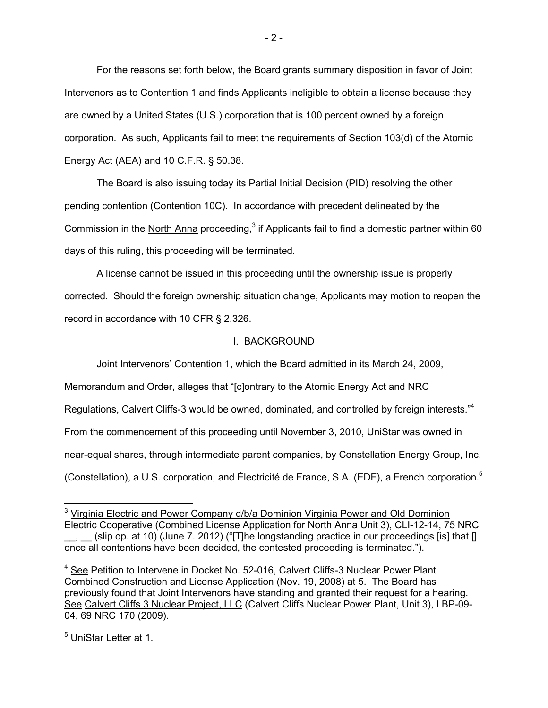For the reasons set forth below, the Board grants summary disposition in favor of Joint Intervenors as to Contention 1 and finds Applicants ineligible to obtain a license because they are owned by a United States (U.S.) corporation that is 100 percent owned by a foreign corporation. As such, Applicants fail to meet the requirements of Section 103(d) of the Atomic Energy Act (AEA) and 10 C.F.R. § 50.38.

The Board is also issuing today its Partial Initial Decision (PID) resolving the other pending contention (Contention 10C). In accordance with precedent delineated by the Commission in the North Anna proceeding,<sup>3</sup> if Applicants fail to find a domestic partner within 60 days of this ruling, this proceeding will be terminated.

A license cannot be issued in this proceeding until the ownership issue is properly corrected. Should the foreign ownership situation change, Applicants may motion to reopen the record in accordance with 10 CFR § 2.326.

#### I. BACKGROUND

Joint Intervenors' Contention 1, which the Board admitted in its March 24, 2009,

Memorandum and Order, alleges that "[c]ontrary to the Atomic Energy Act and NRC

Regulations, Calvert Cliffs-3 would be owned, dominated, and controlled by foreign interests."<sup>4</sup>

From the commencement of this proceeding until November 3, 2010, UniStar was owned in

near-equal shares, through intermediate parent companies, by Constellation Energy Group, Inc.

(Constellation), a U.S. corporation, and Électricité de France, S.A. (EDF), a French corporation.<sup>5</sup>

<sup>5</sup> UniStar Letter at 1.

 $\overline{a}$ 

<sup>&</sup>lt;sup>3</sup> Virginia Electric and Power Company d/b/a Dominion Virginia Power and Old Dominion Electric Cooperative (Combined License Application for North Anna Unit 3), CLI-12-14, 75 NRC \_\_, \_\_ (slip op. at 10) (June 7. 2012) ("[T]he longstanding practice in our proceedings [is] that [] once all contentions have been decided, the contested proceeding is terminated.").

<sup>&</sup>lt;sup>4</sup> See Petition to Intervene in Docket No. 52-016, Calvert Cliffs-3 Nuclear Power Plant Combined Construction and License Application (Nov. 19, 2008) at 5. The Board has previously found that Joint Intervenors have standing and granted their request for a hearing. See Calvert Cliffs 3 Nuclear Project, LLC (Calvert Cliffs Nuclear Power Plant, Unit 3), LBP-09- 04, 69 NRC 170 (2009).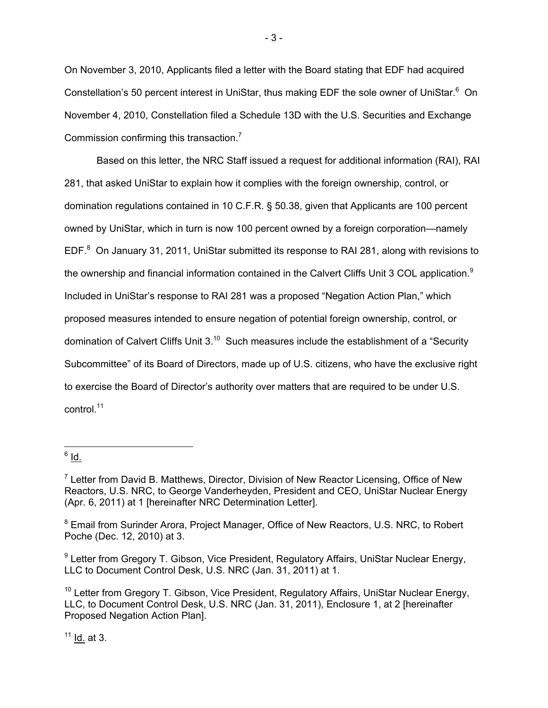On November 3, 2010, Applicants filed a letter with the Board stating that EDF had acquired Constellation's 50 percent interest in UniStar, thus making EDF the sole owner of UniStar.<sup>6</sup> On November 4, 2010, Constellation filed a Schedule 13D with the U.S. Securities and Exchange Commission confirming this transaction. $<sup>7</sup>$ </sup>

- 3 -

 Based on this letter, the NRC Staff issued a request for additional information (RAI), RAI 281, that asked UniStar to explain how it complies with the foreign ownership, control, or domination regulations contained in 10 C.F.R. § 50.38, given that Applicants are 100 percent owned by UniStar, which in turn is now 100 percent owned by a foreign corporation—namely EDF. ${}^{8}$  On January 31, 2011, UniStar submitted its response to RAI 281, along with revisions to the ownership and financial information contained in the Calvert Cliffs Unit 3 COL application.<sup>9</sup> Included in UniStar's response to RAI 281 was a proposed "Negation Action Plan," which proposed measures intended to ensure negation of potential foreign ownership, control, or domination of Calvert Cliffs Unit  $3^{10}$  Such measures include the establishment of a "Security Subcommittee" of its Board of Directors, made up of U.S. citizens, who have the exclusive right to exercise the Board of Director's authority over matters that are required to be under U.S. control.<sup>11</sup>

 $11$  Id. at 3.

 $\frac{1}{6}$  <u>Id.</u>

 $7$  Letter from David B. Matthews, Director, Division of New Reactor Licensing, Office of New Reactors, U.S. NRC, to George Vanderheyden, President and CEO, UniStar Nuclear Energy (Apr. 6, 2011) at 1 [hereinafter NRC Determination Letter].

<sup>&</sup>lt;sup>8</sup> Email from Surinder Arora, Project Manager, Office of New Reactors, U.S. NRC, to Robert Poche (Dec. 12, 2010) at 3.

<sup>&</sup>lt;sup>9</sup> Letter from Gregory T. Gibson, Vice President, Regulatory Affairs, UniStar Nuclear Energy, LLC to Document Control Desk, U.S. NRC (Jan. 31, 2011) at 1.

 $10$  Letter from Gregory T. Gibson, Vice President, Regulatory Affairs, UniStar Nuclear Energy, LLC, to Document Control Desk, U.S. NRC (Jan. 31, 2011), Enclosure 1, at 2 [hereinafter Proposed Negation Action Plan].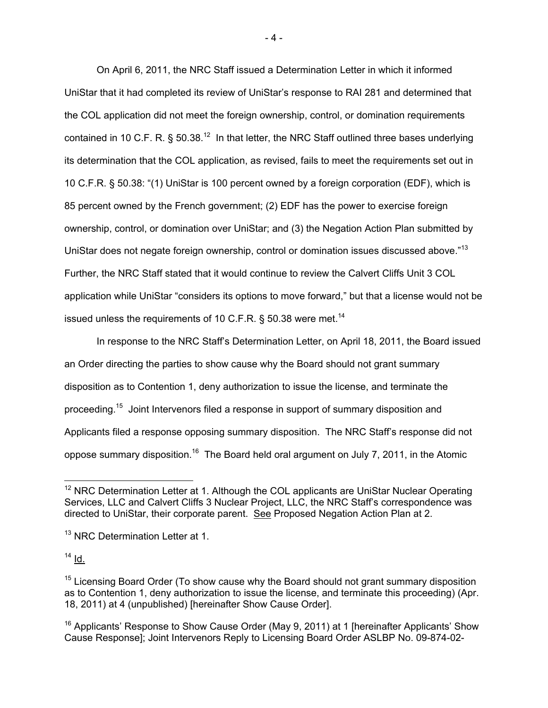On April 6, 2011, the NRC Staff issued a Determination Letter in which it informed UniStar that it had completed its review of UniStar's response to RAI 281 and determined that the COL application did not meet the foreign ownership, control, or domination requirements contained in 10 C.F. R.  $\S$  50.38.<sup>12</sup> In that letter, the NRC Staff outlined three bases underlying its determination that the COL application, as revised, fails to meet the requirements set out in 10 C.F.R. § 50.38: "(1) UniStar is 100 percent owned by a foreign corporation (EDF), which is 85 percent owned by the French government; (2) EDF has the power to exercise foreign ownership, control, or domination over UniStar; and (3) the Negation Action Plan submitted by UniStar does not negate foreign ownership, control or domination issues discussed above."<sup>13</sup> Further, the NRC Staff stated that it would continue to review the Calvert Cliffs Unit 3 COL application while UniStar "considers its options to move forward," but that a license would not be issued unless the requirements of 10 C.F.R.  $\S$  50.38 were met.<sup>14</sup>

 In response to the NRC Staff's Determination Letter, on April 18, 2011, the Board issued an Order directing the parties to show cause why the Board should not grant summary disposition as to Contention 1, deny authorization to issue the license, and terminate the proceeding.15 Joint Intervenors filed a response in support of summary disposition and Applicants filed a response opposing summary disposition. The NRC Staff's response did not oppose summary disposition.16 The Board held oral argument on July 7, 2011, in the Atomic

 $14$  Id.

- 4 -

 $12$  NRC Determination Letter at 1. Although the COL applicants are UniStar Nuclear Operating Services, LLC and Calvert Cliffs 3 Nuclear Project, LLC, the NRC Staff's correspondence was directed to UniStar, their corporate parent. See Proposed Negation Action Plan at 2.

<sup>&</sup>lt;sup>13</sup> NRC Determination Letter at 1.

 $15$  Licensing Board Order (To show cause why the Board should not grant summary disposition as to Contention 1, deny authorization to issue the license, and terminate this proceeding) (Apr. 18, 2011) at 4 (unpublished) [hereinafter Show Cause Order].

<sup>&</sup>lt;sup>16</sup> Applicants' Response to Show Cause Order (May 9, 2011) at 1 [hereinafter Applicants' Show Cause Response]; Joint Intervenors Reply to Licensing Board Order ASLBP No. 09-874-02-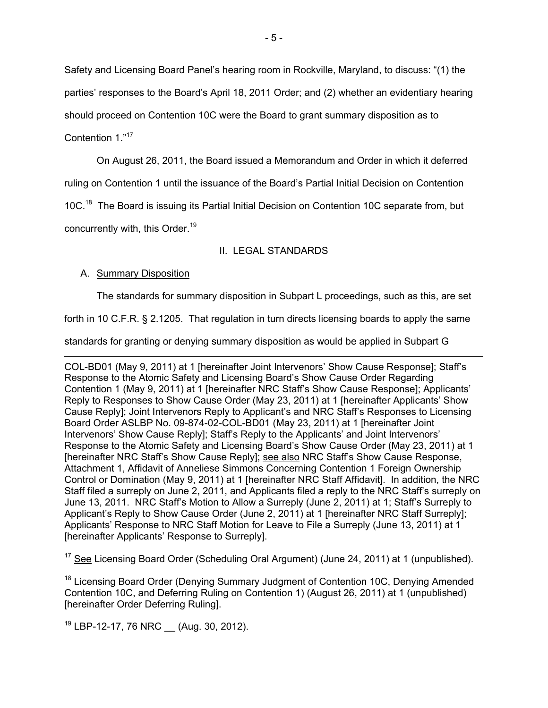Safety and Licensing Board Panel's hearing room in Rockville, Maryland, to discuss: "(1) the parties' responses to the Board's April 18, 2011 Order; and (2) whether an evidentiary hearing should proceed on Contention 10C were the Board to grant summary disposition as to Contention 1."17

 On August 26, 2011, the Board issued a Memorandum and Order in which it deferred ruling on Contention 1 until the issuance of the Board's Partial Initial Decision on Contention 10C.<sup>18</sup> The Board is issuing its Partial Initial Decision on Contention 10C separate from, but concurrently with, this Order.<sup>19</sup>

# II. LEGAL STANDARDS

# A. Summary Disposition

The standards for summary disposition in Subpart L proceedings, such as this, are set

forth in 10 C.F.R. § 2.1205. That regulation in turn directs licensing boards to apply the same

standards for granting or denying summary disposition as would be applied in Subpart G

 COL-BD01 (May 9, 2011) at 1 [hereinafter Joint Intervenors' Show Cause Response]; Staff's Response to the Atomic Safety and Licensing Board's Show Cause Order Regarding Contention 1 (May 9, 2011) at 1 [hereinafter NRC Staff's Show Cause Response]; Applicants' Reply to Responses to Show Cause Order (May 23, 2011) at 1 [hereinafter Applicants' Show Cause Reply]; Joint Intervenors Reply to Applicant's and NRC Staff's Responses to Licensing Board Order ASLBP No. 09-874-02-COL-BD01 (May 23, 2011) at 1 [hereinafter Joint Intervenors' Show Cause Reply]; Staff's Reply to the Applicants' and Joint Intervenors' Response to the Atomic Safety and Licensing Board's Show Cause Order (May 23, 2011) at 1 [hereinafter NRC Staff's Show Cause Reply]; see also NRC Staff's Show Cause Response, Attachment 1, Affidavit of Anneliese Simmons Concerning Contention 1 Foreign Ownership Control or Domination (May 9, 2011) at 1 [hereinafter NRC Staff Affidavit]. In addition, the NRC Staff filed a surreply on June 2, 2011, and Applicants filed a reply to the NRC Staff's surreply on June 13, 2011. NRC Staff's Motion to Allow a Surreply (June 2, 2011) at 1; Staff's Surreply to Applicant's Reply to Show Cause Order (June 2, 2011) at 1 [hereinafter NRC Staff Surreply]; Applicants' Response to NRC Staff Motion for Leave to File a Surreply (June 13, 2011) at 1 [hereinafter Applicants' Response to Surreply].

<sup>17</sup> See Licensing Board Order (Scheduling Oral Argument) (June 24, 2011) at 1 (unpublished).

<sup>18</sup> Licensing Board Order (Denying Summary Judgment of Contention 10C, Denying Amended Contention 10C, and Deferring Ruling on Contention 1) (August 26, 2011) at 1 (unpublished) [hereinafter Order Deferring Ruling].

<sup>19</sup> LBP-12-17, 76 NRC (Aug. 30, 2012).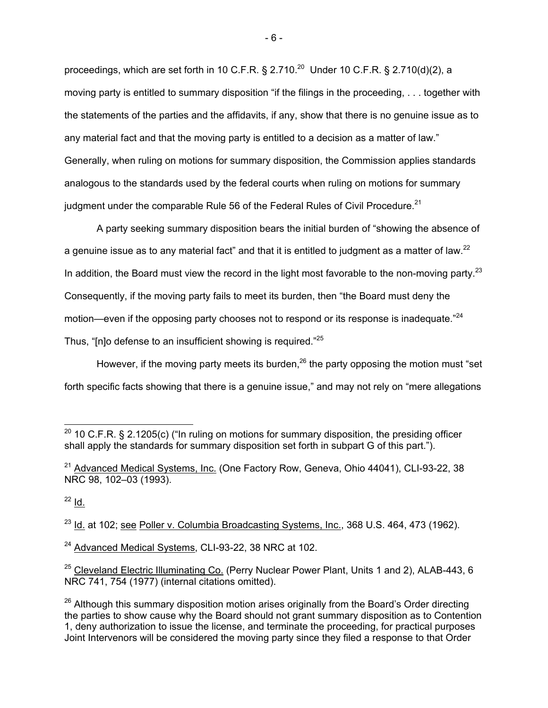proceedings, which are set forth in 10 C.F.R. § 2.710.<sup>20</sup> Under 10 C.F.R. § 2.710(d)(2), a moving party is entitled to summary disposition "if the filings in the proceeding, . . . together with the statements of the parties and the affidavits, if any, show that there is no genuine issue as to any material fact and that the moving party is entitled to a decision as a matter of law." Generally, when ruling on motions for summary disposition, the Commission applies standards analogous to the standards used by the federal courts when ruling on motions for summary judgment under the comparable Rule 56 of the Federal Rules of Civil Procedure.<sup>21</sup>

A party seeking summary disposition bears the initial burden of "showing the absence of a genuine issue as to any material fact" and that it is entitled to judgment as a matter of law.<sup>22</sup> In addition, the Board must view the record in the light most favorable to the non-moving party.<sup>23</sup> Consequently, if the moving party fails to meet its burden, then "the Board must deny the motion—even if the opposing party chooses not to respond or its response is inadequate."<sup>24</sup> Thus, "[n]o defense to an insufficient showing is required."<sup>25</sup>

However, if the moving party meets its burden,  $26$  the party opposing the motion must "set forth specific facts showing that there is a genuine issue," and may not rely on "mere allegations

 $^{23}$  Id. at 102; see Poller v. Columbia Broadcasting Systems, Inc., 368 U.S. 464, 473 (1962).

<sup>24</sup> Advanced Medical Systems, CLI-93-22, 38 NRC at 102.

<sup>-</sup><sup>20</sup> 10 C.F.R. § 2.1205(c) ("In ruling on motions for summary disposition, the presiding officer shall apply the standards for summary disposition set forth in subpart G of this part.").

 $21$  Advanced Medical Systems, Inc. (One Factory Row, Geneva, Ohio 44041), CLI-93-22, 38 NRC 98, 102–03 (1993).

 $^{22}$  Id.

<sup>&</sup>lt;sup>25</sup> Cleveland Electric Illuminating Co. (Perry Nuclear Power Plant, Units 1 and 2), ALAB-443, 6 NRC 741, 754 (1977) (internal citations omitted).

 $26$  Although this summary disposition motion arises originally from the Board's Order directing the parties to show cause why the Board should not grant summary disposition as to Contention 1, deny authorization to issue the license, and terminate the proceeding, for practical purposes Joint Intervenors will be considered the moving party since they filed a response to that Order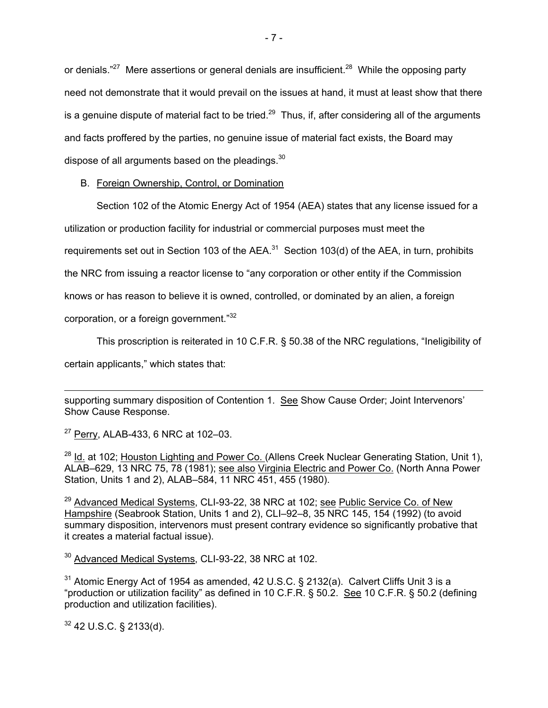or denials."<sup>27</sup> Mere assertions or general denials are insufficient.<sup>28</sup> While the opposing party need not demonstrate that it would prevail on the issues at hand, it must at least show that there is a genuine dispute of material fact to be tried.<sup>29</sup> Thus, if, after considering all of the arguments and facts proffered by the parties, no genuine issue of material fact exists, the Board may dispose of all arguments based on the pleadings.<sup>30</sup>

# B. Foreign Ownership, Control, or Domination

Section 102 of the Atomic Energy Act of 1954 (AEA) states that any license issued for a

utilization or production facility for industrial or commercial purposes must meet the

requirements set out in Section 103 of the AEA. $31$  Section 103(d) of the AEA, in turn, prohibits

the NRC from issuing a reactor license to "any corporation or other entity if the Commission

knows or has reason to believe it is owned, controlled, or dominated by an alien, a foreign

corporation, or a foreign government."32

This proscription is reiterated in 10 C.F.R. § 50.38 of the NRC regulations, "Ineligibility of certain applicants," which states that:

 $\overline{a}$ supporting summary disposition of Contention 1. See Show Cause Order; Joint Intervenors' Show Cause Response.

<sup>27</sup> Perry, ALAB-433, 6 NRC at 102-03.

<sup>28</sup> Id. at 102; Houston Lighting and Power Co. (Allens Creek Nuclear Generating Station, Unit 1), ALAB–629, 13 NRC 75, 78 (1981); see also Virginia Electric and Power Co. (North Anna Power Station, Units 1 and 2), ALAB–584, 11 NRC 451, 455 (1980).

 $29$  Advanced Medical Systems, CLI-93-22, 38 NRC at 102; see Public Service Co. of New Hampshire (Seabrook Station, Units 1 and 2), CLI–92–8, 35 NRC 145, 154 (1992) (to avoid summary disposition, intervenors must present contrary evidence so significantly probative that it creates a material factual issue).

30 Advanced Medical Systems, CLI-93-22, 38 NRC at 102.

 $31$  Atomic Energy Act of 1954 as amended, 42 U.S.C. § 2132(a). Calvert Cliffs Unit 3 is a "production or utilization facility" as defined in 10 C.F.R. § 50.2. See 10 C.F.R. § 50.2 (defining production and utilization facilities).

 $32$  42 U.S.C. § 2133(d).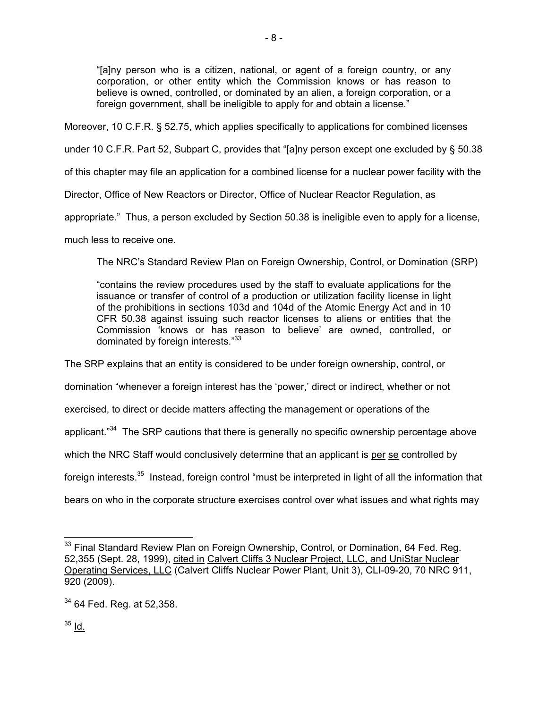"[a]ny person who is a citizen, national, or agent of a foreign country, or any corporation, or other entity which the Commission knows or has reason to believe is owned, controlled, or dominated by an alien, a foreign corporation, or a foreign government, shall be ineligible to apply for and obtain a license."

Moreover, 10 C.F.R. § 52.75, which applies specifically to applications for combined licenses

under 10 C.F.R. Part 52, Subpart C, provides that "[a]ny person except one excluded by § 50.38

of this chapter may file an application for a combined license for a nuclear power facility with the

Director, Office of New Reactors or Director, Office of Nuclear Reactor Regulation, as

appropriate." Thus, a person excluded by Section 50.38 is ineligible even to apply for a license,

much less to receive one.

The NRC's Standard Review Plan on Foreign Ownership, Control, or Domination (SRP)

"contains the review procedures used by the staff to evaluate applications for the issuance or transfer of control of a production or utilization facility license in light of the prohibitions in sections 103d and 104d of the Atomic Energy Act and in 10 CFR 50.38 against issuing such reactor licenses to aliens or entities that the Commission 'knows or has reason to believe' are owned, controlled, or dominated by foreign interests."33

The SRP explains that an entity is considered to be under foreign ownership, control, or

domination "whenever a foreign interest has the 'power,' direct or indirect, whether or not

exercised, to direct or decide matters affecting the management or operations of the

applicant."<sup>34</sup> The SRP cautions that there is generally no specific ownership percentage above

which the NRC Staff would conclusively determine that an applicant is per se controlled by

foreign interests.<sup>35</sup> Instead, foreign control "must be interpreted in light of all the information that

bears on who in the corporate structure exercises control over what issues and what rights may

 $35$   $Id.$ 

<sup>-</sup><sup>33</sup> Final Standard Review Plan on Foreign Ownership, Control, or Domination, 64 Fed. Reg. 52,355 (Sept. 28, 1999), cited in Calvert Cliffs 3 Nuclear Project, LLC, and UniStar Nuclear Operating Services, LLC (Calvert Cliffs Nuclear Power Plant, Unit 3), CLI-09-20, 70 NRC 911, 920 (2009).

<sup>&</sup>lt;sup>34</sup> 64 Fed. Reg. at 52,358.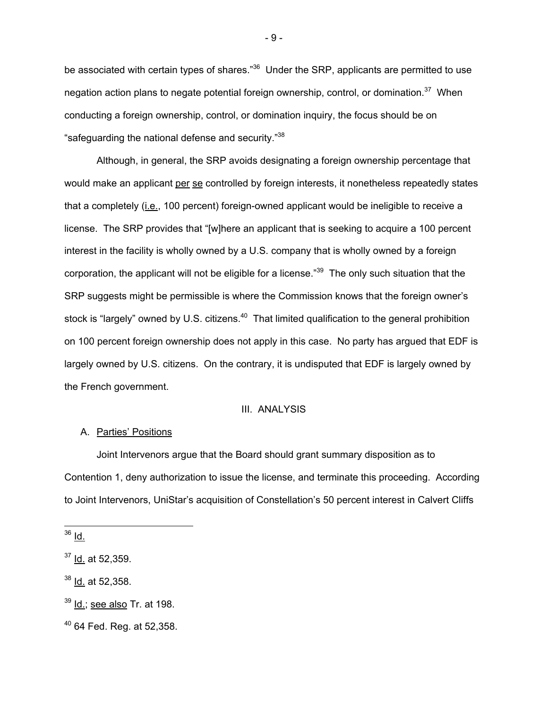be associated with certain types of shares."<sup>36</sup> Under the SRP, applicants are permitted to use negation action plans to negate potential foreign ownership, control, or domination.<sup>37</sup> When conducting a foreign ownership, control, or domination inquiry, the focus should be on "safeguarding the national defense and security."<sup>38</sup>

 Although, in general, the SRP avoids designating a foreign ownership percentage that would make an applicant per se controlled by foreign interests, it nonetheless repeatedly states that a completely (*i.e.*, 100 percent) foreign-owned applicant would be ineligible to receive a license. The SRP provides that "[w]here an applicant that is seeking to acquire a 100 percent interest in the facility is wholly owned by a U.S. company that is wholly owned by a foreign corporation, the applicant will not be eligible for a license."39 The only such situation that the SRP suggests might be permissible is where the Commission knows that the foreign owner's stock is "largely" owned by U.S. citizens.<sup>40</sup> That limited qualification to the general prohibition on 100 percent foreign ownership does not apply in this case. No party has argued that EDF is largely owned by U.S. citizens. On the contrary, it is undisputed that EDF is largely owned by the French government.

#### III. ANALYSIS

# A. Parties' Positions

 Joint Intervenors argue that the Board should grant summary disposition as to Contention 1, deny authorization to issue the license, and terminate this proceeding. According to Joint Intervenors, UniStar's acquisition of Constellation's 50 percent interest in Calvert Cliffs

<sup>36</sup> Id.

-

 $37$  Id. at 52,359.

<sup>&</sup>lt;sup>38</sup> Id. at 52,358.

 $39$  Id.; see also Tr. at 198.

 $40$  64 Fed. Reg. at 52,358.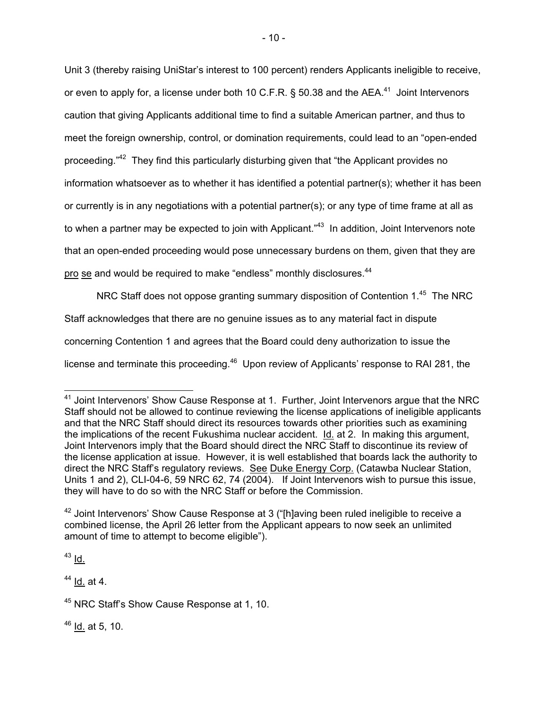Unit 3 (thereby raising UniStar's interest to 100 percent) renders Applicants ineligible to receive, or even to apply for, a license under both 10 C.F.R. § 50.38 and the AEA.<sup>41</sup> Joint Intervenors caution that giving Applicants additional time to find a suitable American partner, and thus to meet the foreign ownership, control, or domination requirements, could lead to an "open-ended proceeding."<sup>42</sup> They find this particularly disturbing given that "the Applicant provides no information whatsoever as to whether it has identified a potential partner(s); whether it has been or currently is in any negotiations with a potential partner(s); or any type of time frame at all as to when a partner may be expected to join with Applicant."<sup>43</sup> In addition, Joint Intervenors note that an open-ended proceeding would pose unnecessary burdens on them, given that they are pro se and would be required to make "endless" monthly disclosures.<sup>44</sup>

NRC Staff does not oppose granting summary disposition of Contention 1.<sup>45</sup> The NRC Staff acknowledges that there are no genuine issues as to any material fact in dispute concerning Contention 1 and agrees that the Board could deny authorization to issue the license and terminate this proceeding.<sup>46</sup> Upon review of Applicants' response to RAI 281, the

 $43$  Id.

 $\overline{a}$ 

 $44$  Id. at 4.

 $46$  Id. at 5, 10.

 $41$  Joint Intervenors' Show Cause Response at 1. Further, Joint Intervenors arque that the NRC Staff should not be allowed to continue reviewing the license applications of ineligible applicants and that the NRC Staff should direct its resources towards other priorities such as examining the implications of the recent Fukushima nuclear accident. Id. at 2. In making this argument, Joint Intervenors imply that the Board should direct the NRC Staff to discontinue its review of the license application at issue. However, it is well established that boards lack the authority to direct the NRC Staff's regulatory reviews. See Duke Energy Corp. (Catawba Nuclear Station, Units 1 and 2), CLI-04-6, 59 NRC 62, 74 (2004). If Joint Intervenors wish to pursue this issue, they will have to do so with the NRC Staff or before the Commission.

 $42$  Joint Intervenors' Show Cause Response at 3 ("[h]aving been ruled ineligible to receive a combined license, the April 26 letter from the Applicant appears to now seek an unlimited amount of time to attempt to become eligible").

<sup>45</sup> NRC Staff's Show Cause Response at 1, 10.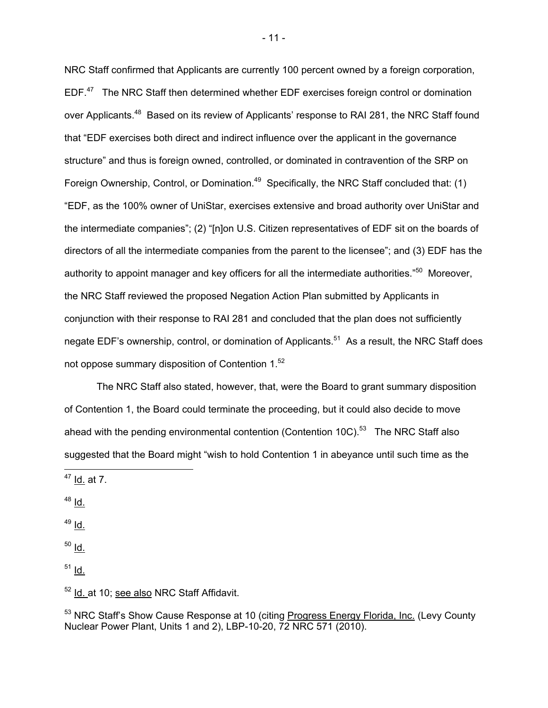NRC Staff confirmed that Applicants are currently 100 percent owned by a foreign corporation,  $EDF<sup>47</sup>$  The NRC Staff then determined whether EDF exercises foreign control or domination over Applicants.<sup>48</sup> Based on its review of Applicants' response to RAI 281, the NRC Staff found that "EDF exercises both direct and indirect influence over the applicant in the governance structure" and thus is foreign owned, controlled, or dominated in contravention of the SRP on Foreign Ownership, Control, or Domination.<sup>49</sup> Specifically, the NRC Staff concluded that: (1) "EDF, as the 100% owner of UniStar, exercises extensive and broad authority over UniStar and the intermediate companies"; (2) "[n]on U.S. Citizen representatives of EDF sit on the boards of directors of all the intermediate companies from the parent to the licensee"; and (3) EDF has the authority to appoint manager and key officers for all the intermediate authorities."<sup>50</sup> Moreover, the NRC Staff reviewed the proposed Negation Action Plan submitted by Applicants in conjunction with their response to RAI 281 and concluded that the plan does not sufficiently negate EDF's ownership, control, or domination of Applicants.<sup>51</sup> As a result, the NRC Staff does not oppose summary disposition of Contention 1.52

 The NRC Staff also stated, however, that, were the Board to grant summary disposition of Contention 1, the Board could terminate the proceeding, but it could also decide to move ahead with the pending environmental contention (Contention 10C). $53$  The NRC Staff also suggested that the Board might "wish to hold Contention 1 in abeyance until such time as the

 $48$  Id.

 $\overline{a}$ 

- $49$  Id.
- $50$  Id.
- $51$  Id.

 $52$  Id. at 10; see also NRC Staff Affidavit.

<sup>53</sup> NRC Staff's Show Cause Response at 10 (citing *Progress Energy Florida, Inc.* (Levy County Nuclear Power Plant, Units 1 and 2), LBP-10-20, 72 NRC 571 (2010).

- 11 -

<sup>&</sup>lt;sup>47</sup> <u>Id.</u> at 7.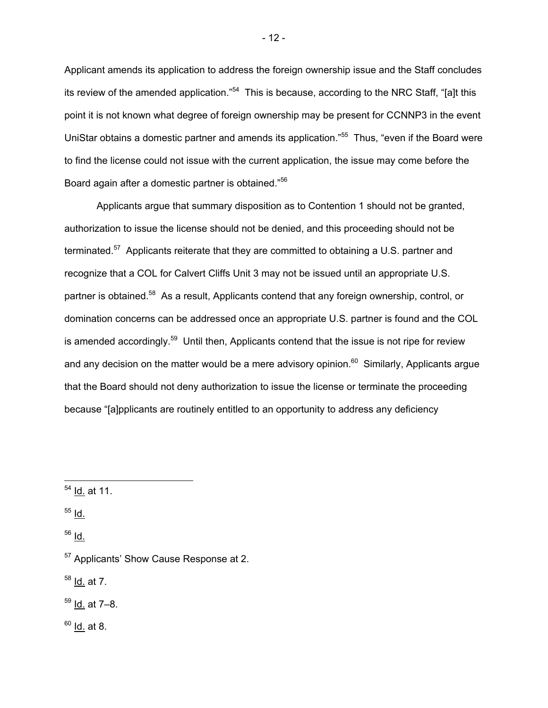Applicant amends its application to address the foreign ownership issue and the Staff concludes its review of the amended application."<sup>54</sup> This is because, according to the NRC Staff, "[a]t this point it is not known what degree of foreign ownership may be present for CCNNP3 in the event UniStar obtains a domestic partner and amends its application."55 Thus, "even if the Board were to find the license could not issue with the current application, the issue may come before the Board again after a domestic partner is obtained."<sup>56</sup>

 Applicants argue that summary disposition as to Contention 1 should not be granted, authorization to issue the license should not be denied, and this proceeding should not be terminated.<sup>57</sup> Applicants reiterate that they are committed to obtaining a U.S. partner and recognize that a COL for Calvert Cliffs Unit 3 may not be issued until an appropriate U.S. partner is obtained.<sup>58</sup> As a result, Applicants contend that any foreign ownership, control, or domination concerns can be addressed once an appropriate U.S. partner is found and the COL is amended accordingly.<sup>59</sup> Until then, Applicants contend that the issue is not ripe for review and any decision on the matter would be a mere advisory opinion.<sup>60</sup> Similarly, Applicants argue that the Board should not deny authorization to issue the license or terminate the proceeding because "[a]pplicants are routinely entitled to an opportunity to address any deficiency

55 Id.

-

56 Id.

 $58$  <u>Id.</u> at 7.

59 Id. at 7–8.

 $60$  <u>Id.</u> at 8.

<sup>54</sup> Id. at 11.

<sup>&</sup>lt;sup>57</sup> Applicants' Show Cause Response at 2.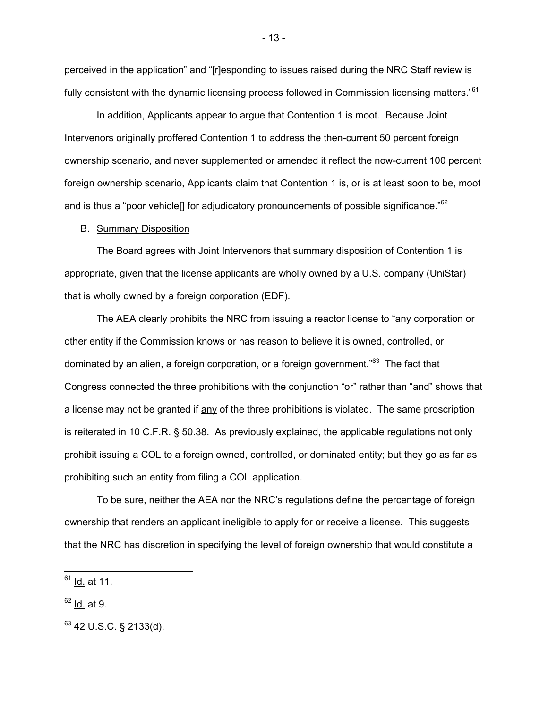perceived in the application" and "[r]esponding to issues raised during the NRC Staff review is fully consistent with the dynamic licensing process followed in Commission licensing matters."<sup>61</sup>

 In addition, Applicants appear to argue that Contention 1 is moot. Because Joint Intervenors originally proffered Contention 1 to address the then-current 50 percent foreign ownership scenario, and never supplemented or amended it reflect the now-current 100 percent foreign ownership scenario, Applicants claim that Contention 1 is, or is at least soon to be, moot and is thus a "poor vehicle<sup>[]</sup> for adjudicatory pronouncements of possible significance."<sup>62</sup>

#### B. Summary Disposition

 The Board agrees with Joint Intervenors that summary disposition of Contention 1 is appropriate, given that the license applicants are wholly owned by a U.S. company (UniStar) that is wholly owned by a foreign corporation (EDF).

The AEA clearly prohibits the NRC from issuing a reactor license to "any corporation or other entity if the Commission knows or has reason to believe it is owned, controlled, or dominated by an alien, a foreign corporation, or a foreign government."<sup>63</sup> The fact that Congress connected the three prohibitions with the conjunction "or" rather than "and" shows that a license may not be granted if any of the three prohibitions is violated. The same proscription is reiterated in 10 C.F.R. § 50.38. As previously explained, the applicable regulations not only prohibit issuing a COL to a foreign owned, controlled, or dominated entity; but they go as far as prohibiting such an entity from filing a COL application.

To be sure, neither the AEA nor the NRC's regulations define the percentage of foreign ownership that renders an applicant ineligible to apply for or receive a license. This suggests that the NRC has discretion in specifying the level of foreign ownership that would constitute a

-

<sup>61</sup> Id. at 11.

 $62$  Id. at 9.

 $63$  42 U.S.C. § 2133(d).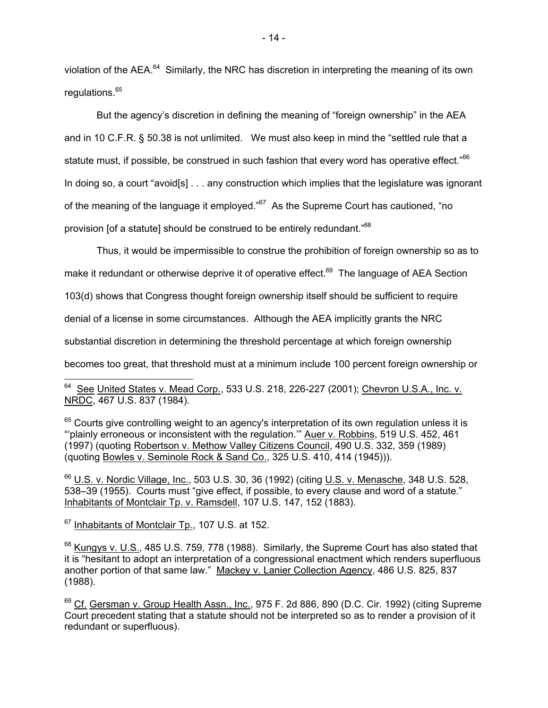violation of the AEA.<sup>64</sup> Similarly, the NRC has discretion in interpreting the meaning of its own regulations.<sup>65</sup>

But the agency's discretion in defining the meaning of "foreign ownership" in the AEA and in 10 C.F.R. § 50.38 is not unlimited. We must also keep in mind the "settled rule that a statute must, if possible, be construed in such fashion that every word has operative effect."<sup>66</sup> In doing so, a court "avoid[s] . . . any construction which implies that the legislature was ignorant of the meaning of the language it employed."<sup>67</sup> As the Supreme Court has cautioned, "no provision [of a statute] should be construed to be entirely redundant."<sup>68</sup>

Thus, it would be impermissible to construe the prohibition of foreign ownership so as to

make it redundant or otherwise deprive it of operative effect.<sup>69</sup> The language of AEA Section

103(d) shows that Congress thought foreign ownership itself should be sufficient to require

denial of a license in some circumstances. Although the AEA implicitly grants the NRC

substantial discretion in determining the threshold percentage at which foreign ownership

becomes too great, that threshold must at a minimum include 100 percent foreign ownership or

 $65$  Courts give controlling weight to an agency's interpretation of its own regulation unless it is "plainly erroneous or inconsistent with the regulation." Auer v. Robbins, 519 U.S. 452, 461 (1997) (quoting Robertson v. Methow Valley Citizens Council, 490 U.S. 332, 359 (1989) (quoting Bowles v. Seminole Rock & Sand Co., 325 U.S. 410, 414 (1945))).

<sup>66</sup> U.S. v. Nordic Village, Inc., 503 U.S. 30, 36 (1992) (citing U.S. v. Menasche, 348 U.S. 528, 538–39 (1955). Courts must "give effect, if possible, to every clause and word of a statute." Inhabitants of Montclair Tp. v. Ramsdell, 107 U.S. 147, 152 (1883).

<sup>67</sup> Inhabitants of Montclair Tp., 107 U.S. at 152.

 $\overline{a}$ 

 $68$  Kungys v. U.S., 485 U.S. 759, 778 (1988). Similarly, the Supreme Court has also stated that it is "hesitant to adopt an interpretation of a congressional enactment which renders superfluous another portion of that same law." Mackey v. Lanier Collection Agency, 486 U.S. 825, 837 (1988).

 $69$  Cf. Gersman v. Group Health Assn., Inc., 975 F. 2d 886, 890 (D.C. Cir. 1992) (citing Supreme Court precedent stating that a statute should not be interpreted so as to render a provision of it redundant or superfluous).

<sup>&</sup>lt;sup>64</sup> See United States v. Mead Corp., 533 U.S. 218, 226-227 (2001); Chevron U.S.A., Inc. v. NRDC, 467 U.S. 837 (1984).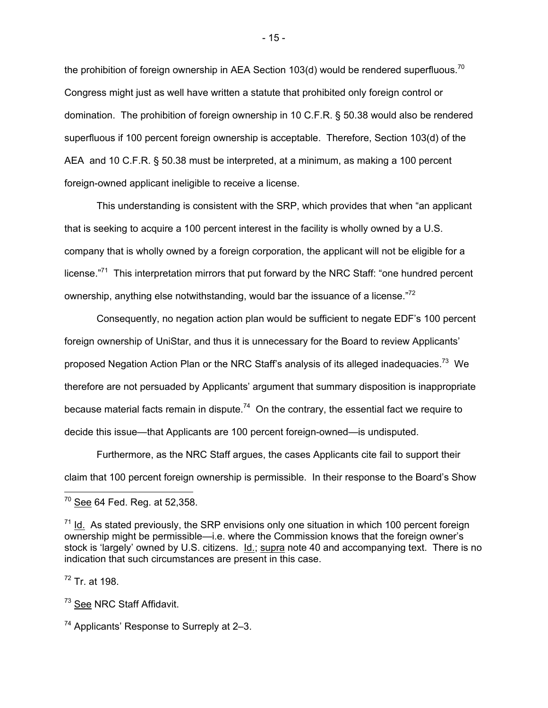the prohibition of foreign ownership in AEA Section 103(d) would be rendered superfluous.<sup>70</sup> Congress might just as well have written a statute that prohibited only foreign control or domination. The prohibition of foreign ownership in 10 C.F.R. § 50.38 would also be rendered superfluous if 100 percent foreign ownership is acceptable. Therefore, Section 103(d) of the AEA and 10 C.F.R. § 50.38 must be interpreted, at a minimum, as making a 100 percent foreign-owned applicant ineligible to receive a license.

This understanding is consistent with the SRP, which provides that when "an applicant that is seeking to acquire a 100 percent interest in the facility is wholly owned by a U.S. company that is wholly owned by a foreign corporation, the applicant will not be eligible for a license."<sup>71</sup> This interpretation mirrors that put forward by the NRC Staff: "one hundred percent ownership, anything else notwithstanding, would bar the issuance of a license."<sup>72</sup>

Consequently, no negation action plan would be sufficient to negate EDF's 100 percent foreign ownership of UniStar, and thus it is unnecessary for the Board to review Applicants' proposed Negation Action Plan or the NRC Staff's analysis of its alleged inadequacies.<sup>73</sup> We therefore are not persuaded by Applicants' argument that summary disposition is inappropriate because material facts remain in dispute.<sup>74</sup> On the contrary, the essential fact we require to decide this issue—that Applicants are 100 percent foreign-owned—is undisputed.

 Furthermore, as the NRC Staff argues, the cases Applicants cite fail to support their claim that 100 percent foreign ownership is permissible. In their response to the Board's Show

72 Tr. at 198.

<sup>73</sup> See NRC Staff Affidavit.

- 15 -

 <sup>70</sup> <u>See</u> 64 Fed. Reg. at 52,358.

 $71$  Id. As stated previously, the SRP envisions only one situation in which 100 percent foreign ownership might be permissible—i.e. where the Commission knows that the foreign owner's stock is 'largely' owned by U.S. citizens. Id.; supra note 40 and accompanying text. There is no indication that such circumstances are present in this case.

 $74$  Applicants' Response to Surreply at 2–3.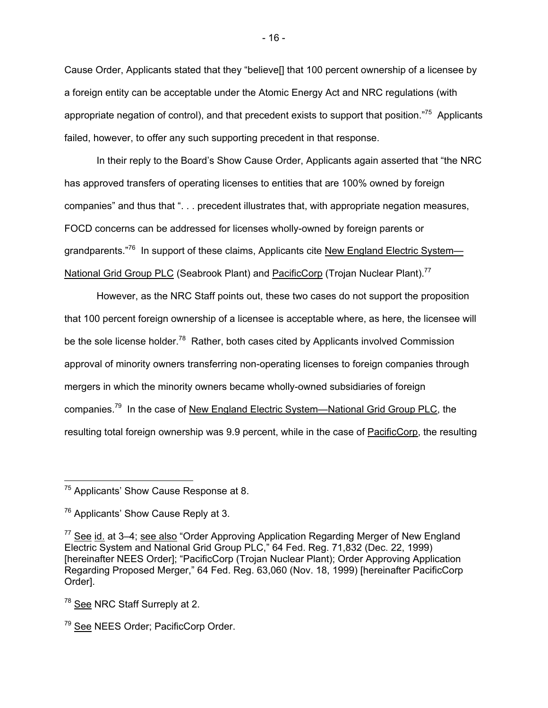Cause Order, Applicants stated that they "believe[] that 100 percent ownership of a licensee by a foreign entity can be acceptable under the Atomic Energy Act and NRC regulations (with appropriate negation of control), and that precedent exists to support that position."<sup>75</sup> Applicants failed, however, to offer any such supporting precedent in that response.

In their reply to the Board's Show Cause Order, Applicants again asserted that "the NRC has approved transfers of operating licenses to entities that are 100% owned by foreign companies" and thus that ". . . precedent illustrates that, with appropriate negation measures, FOCD concerns can be addressed for licenses wholly-owned by foreign parents or grandparents."<sup>76</sup> In support of these claims, Applicants cite New England Electric System— National Grid Group PLC (Seabrook Plant) and PacificCorp (Trojan Nuclear Plant).<sup>77</sup>

However, as the NRC Staff points out, these two cases do not support the proposition that 100 percent foreign ownership of a licensee is acceptable where, as here, the licensee will be the sole license holder.<sup>78</sup> Rather, both cases cited by Applicants involved Commission approval of minority owners transferring non-operating licenses to foreign companies through mergers in which the minority owners became wholly-owned subsidiaries of foreign companies.79 In the case of New England Electric System—National Grid Group PLC, the resulting total foreign ownership was 9.9 percent, while in the case of PacificCorp, the resulting

<sup>&</sup>lt;sup>75</sup> Applicants' Show Cause Response at 8.

<sup>&</sup>lt;sup>76</sup> Applicants' Show Cause Reply at 3.

 $77$  See id. at 3–4; see also "Order Approving Application Regarding Merger of New England Electric System and National Grid Group PLC," 64 Fed. Reg. 71,832 (Dec. 22, 1999) [hereinafter NEES Order]; "PacificCorp (Trojan Nuclear Plant); Order Approving Application Regarding Proposed Merger," 64 Fed. Reg. 63,060 (Nov. 18, 1999) [hereinafter PacificCorp Order].

<sup>&</sup>lt;sup>78</sup> See NRC Staff Surreply at 2.

<sup>&</sup>lt;sup>79</sup> See NEES Order: PacificCorp Order.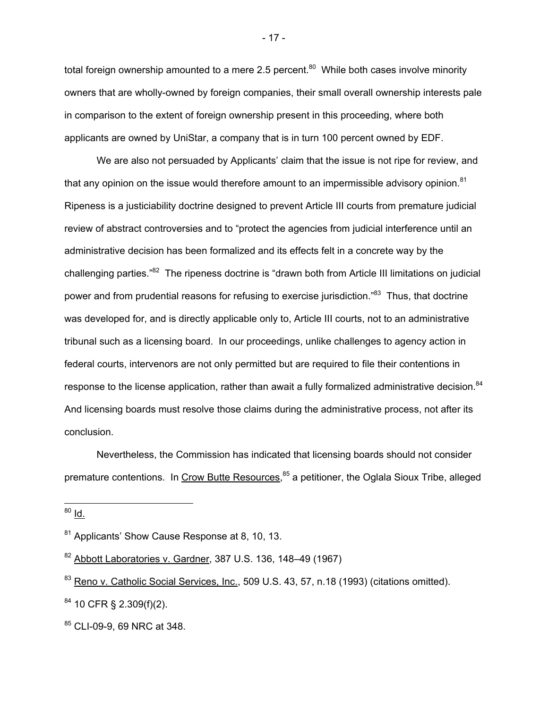total foreign ownership amounted to a mere 2.5 percent. $80$  While both cases involve minority owners that are wholly-owned by foreign companies, their small overall ownership interests pale in comparison to the extent of foreign ownership present in this proceeding, where both applicants are owned by UniStar, a company that is in turn 100 percent owned by EDF.

We are also not persuaded by Applicants' claim that the issue is not ripe for review, and that any opinion on the issue would therefore amount to an impermissible advisory opinion. $81$ Ripeness is a justiciability doctrine designed to prevent Article III courts from premature judicial review of abstract controversies and to "protect the agencies from judicial interference until an administrative decision has been formalized and its effects felt in a concrete way by the challenging parties."82 The ripeness doctrine is "drawn both from Article III limitations on judicial power and from prudential reasons for refusing to exercise jurisdiction."<sup>83</sup> Thus, that doctrine was developed for, and is directly applicable only to, Article III courts, not to an administrative tribunal such as a licensing board. In our proceedings, unlike challenges to agency action in federal courts, intervenors are not only permitted but are required to file their contentions in response to the license application, rather than await a fully formalized administrative decision.<sup>84</sup> And licensing boards must resolve those claims during the administrative process, not after its conclusion.

Nevertheless, the Commission has indicated that licensing boards should not consider premature contentions. In Crow Butte Resources,<sup>85</sup> a petitioner, the Oglala Sioux Tribe, alleged

<sup>80</sup> <u>Id.</u>

-

- 17 -

<sup>&</sup>lt;sup>81</sup> Applicants' Show Cause Response at 8, 10, 13.

 $82$  Abbott Laboratories v. Gardner, 387 U.S. 136, 148–49 (1967)

<sup>83</sup> Reno v. Catholic Social Services, Inc., 509 U.S. 43, 57, n.18 (1993) (citations omitted).

<sup>84 10</sup> CFR § 2.309(f)(2).

<sup>85</sup> CLI-09-9, 69 NRC at 348.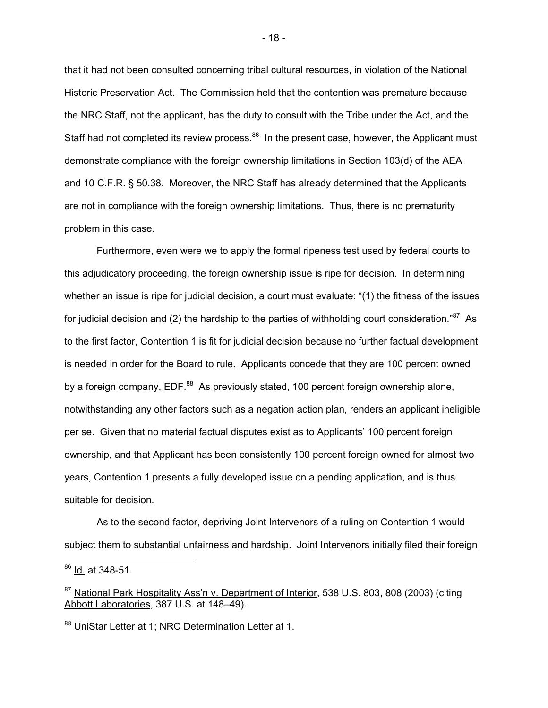that it had not been consulted concerning tribal cultural resources, in violation of the National Historic Preservation Act. The Commission held that the contention was premature because the NRC Staff, not the applicant, has the duty to consult with the Tribe under the Act, and the Staff had not completed its review process.<sup>86</sup> In the present case, however, the Applicant must demonstrate compliance with the foreign ownership limitations in Section 103(d) of the AEA and 10 C.F.R. § 50.38. Moreover, the NRC Staff has already determined that the Applicants are not in compliance with the foreign ownership limitations. Thus, there is no prematurity problem in this case.

Furthermore, even were we to apply the formal ripeness test used by federal courts to this adjudicatory proceeding, the foreign ownership issue is ripe for decision. In determining whether an issue is ripe for judicial decision, a court must evaluate: "(1) the fitness of the issues for judicial decision and (2) the hardship to the parties of withholding court consideration." $87$  As to the first factor, Contention 1 is fit for judicial decision because no further factual development is needed in order for the Board to rule. Applicants concede that they are 100 percent owned by a foreign company, EDF.<sup>88</sup> As previously stated, 100 percent foreign ownership alone, notwithstanding any other factors such as a negation action plan, renders an applicant ineligible per se. Given that no material factual disputes exist as to Applicants' 100 percent foreign ownership, and that Applicant has been consistently 100 percent foreign owned for almost two years, Contention 1 presents a fully developed issue on a pending application, and is thus suitable for decision.

As to the second factor, depriving Joint Intervenors of a ruling on Contention 1 would subject them to substantial unfairness and hardship. Joint Intervenors initially filed their foreign -

<sup>86</sup> Id. at 348-51.

<sup>&</sup>lt;sup>87</sup> National Park Hospitality Ass'n v. Department of Interior, 538 U.S. 803, 808 (2003) (citing Abbott Laboratories, 387 U.S. at 148–49).

<sup>88</sup> UniStar Letter at 1: NRC Determination Letter at 1.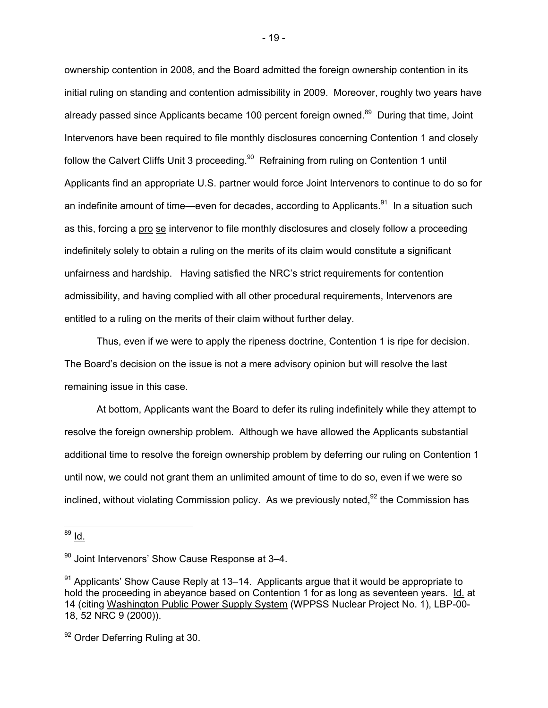ownership contention in 2008, and the Board admitted the foreign ownership contention in its initial ruling on standing and contention admissibility in 2009. Moreover, roughly two years have already passed since Applicants became 100 percent foreign owned.<sup>89</sup> During that time, Joint Intervenors have been required to file monthly disclosures concerning Contention 1 and closely follow the Calvert Cliffs Unit 3 proceeding.<sup>90</sup> Refraining from ruling on Contention 1 until Applicants find an appropriate U.S. partner would force Joint Intervenors to continue to do so for an indefinite amount of time—even for decades, according to Applicants. $91$  In a situation such as this, forcing a pro se intervenor to file monthly disclosures and closely follow a proceeding indefinitely solely to obtain a ruling on the merits of its claim would constitute a significant unfairness and hardship. Having satisfied the NRC's strict requirements for contention admissibility, and having complied with all other procedural requirements, Intervenors are entitled to a ruling on the merits of their claim without further delay.

Thus, even if we were to apply the ripeness doctrine, Contention 1 is ripe for decision. The Board's decision on the issue is not a mere advisory opinion but will resolve the last remaining issue in this case.

At bottom, Applicants want the Board to defer its ruling indefinitely while they attempt to resolve the foreign ownership problem. Although we have allowed the Applicants substantial additional time to resolve the foreign ownership problem by deferring our ruling on Contention 1 until now, we could not grant them an unlimited amount of time to do so, even if we were so inclined, without violating Commission policy. As we previously noted,  $92$  the Commission has

<sup>&</sup>lt;sup>89</sup> l<u>d.</u>

 $90$  Joint Intervenors' Show Cause Response at 3–4.

 $91$  Applicants' Show Cause Reply at 13–14. Applicants argue that it would be appropriate to hold the proceeding in abeyance based on Contention 1 for as long as seventeen years. Id. at 14 (citing Washington Public Power Supply System (WPPSS Nuclear Project No. 1), LBP-00- 18, 52 NRC 9 (2000)).

<sup>&</sup>lt;sup>92</sup> Order Deferring Ruling at 30.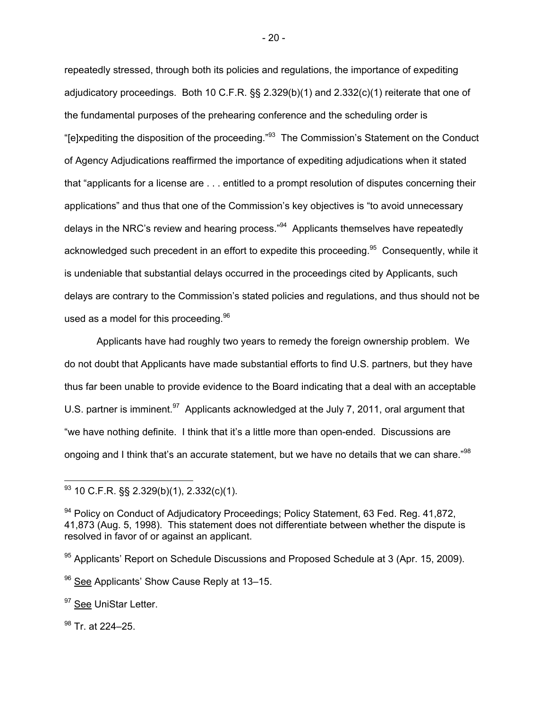repeatedly stressed, through both its policies and regulations, the importance of expediting adjudicatory proceedings. Both 10 C.F.R. §§ 2.329(b)(1) and 2.332(c)(1) reiterate that one of the fundamental purposes of the prehearing conference and the scheduling order is "[e]xpediting the disposition of the proceeding."93 The Commission's Statement on the Conduct of Agency Adjudications reaffirmed the importance of expediting adjudications when it stated that "applicants for a license are . . . entitled to a prompt resolution of disputes concerning their applications" and thus that one of the Commission's key objectives is "to avoid unnecessary delays in the NRC's review and hearing process."<sup>94</sup> Applicants themselves have repeatedly acknowledged such precedent in an effort to expedite this proceeding.<sup>95</sup> Consequently, while it is undeniable that substantial delays occurred in the proceedings cited by Applicants, such delays are contrary to the Commission's stated policies and regulations, and thus should not be used as a model for this proceeding.  $96$ 

Applicants have had roughly two years to remedy the foreign ownership problem. We do not doubt that Applicants have made substantial efforts to find U.S. partners, but they have thus far been unable to provide evidence to the Board indicating that a deal with an acceptable U.S. partner is imminent.<sup>97</sup> Applicants acknowledged at the July 7, 2011, oral argument that "we have nothing definite. I think that it's a little more than open-ended. Discussions are ongoing and I think that's an accurate statement, but we have no details that we can share."<sup>98</sup>

<sup>97</sup> See UniStar Letter.

98 Tr. at 224-25.

-

 $93$  10 C.F.R. §§ 2.329(b)(1), 2.332(c)(1).

<sup>94</sup> Policy on Conduct of Adjudicatory Proceedings; Policy Statement, 63 Fed. Reg. 41,872, 41,873 (Aug. 5, 1998). This statement does not differentiate between whether the dispute is resolved in favor of or against an applicant.

<sup>95</sup> Applicants' Report on Schedule Discussions and Proposed Schedule at 3 (Apr. 15, 2009).

<sup>96</sup> See Applicants' Show Cause Reply at 13–15.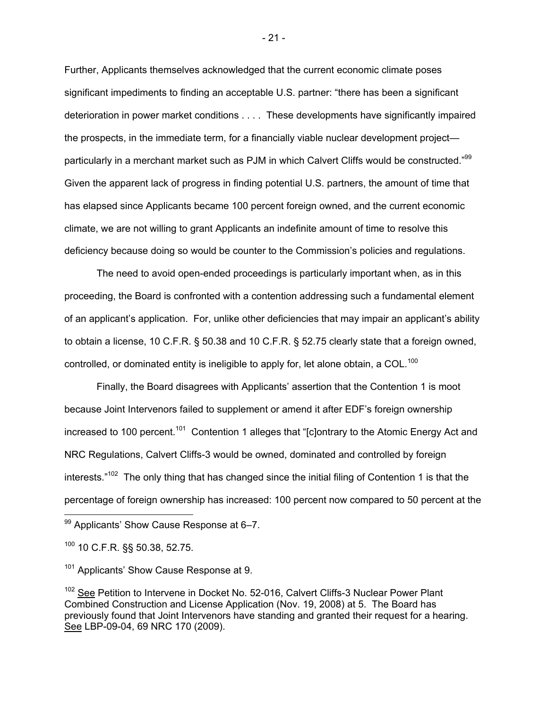Further, Applicants themselves acknowledged that the current economic climate poses significant impediments to finding an acceptable U.S. partner: "there has been a significant deterioration in power market conditions . . . . These developments have significantly impaired the prospects, in the immediate term, for a financially viable nuclear development project particularly in a merchant market such as PJM in which Calvert Cliffs would be constructed."<sup>99</sup> Given the apparent lack of progress in finding potential U.S. partners, the amount of time that has elapsed since Applicants became 100 percent foreign owned, and the current economic climate, we are not willing to grant Applicants an indefinite amount of time to resolve this deficiency because doing so would be counter to the Commission's policies and regulations.

The need to avoid open-ended proceedings is particularly important when, as in this proceeding, the Board is confronted with a contention addressing such a fundamental element of an applicant's application. For, unlike other deficiencies that may impair an applicant's ability to obtain a license, 10 C.F.R. § 50.38 and 10 C.F.R. § 52.75 clearly state that a foreign owned, controlled, or dominated entity is ineligible to apply for, let alone obtain, a COL.<sup>100</sup>

Finally, the Board disagrees with Applicants' assertion that the Contention 1 is moot because Joint Intervenors failed to supplement or amend it after EDF's foreign ownership increased to 100 percent.<sup>101</sup> Contention 1 alleges that " $[*c*]$ ontrary to the Atomic Energy Act and NRC Regulations, Calvert Cliffs-3 would be owned, dominated and controlled by foreign interests."<sup>102</sup> The only thing that has changed since the initial filing of Contention 1 is that the percentage of foreign ownership has increased: 100 percent now compared to 50 percent at the

- 21 -

<sup>99</sup> Applicants' Show Cause Response at 6-7.

 $100$  10 C.F.R. §§ 50.38, 52.75.

<sup>&</sup>lt;sup>101</sup> Applicants' Show Cause Response at 9.

<sup>&</sup>lt;sup>102</sup> See Petition to Intervene in Docket No. 52-016, Calvert Cliffs-3 Nuclear Power Plant Combined Construction and License Application (Nov. 19, 2008) at 5. The Board has previously found that Joint Intervenors have standing and granted their request for a hearing. See LBP-09-04, 69 NRC 170 (2009).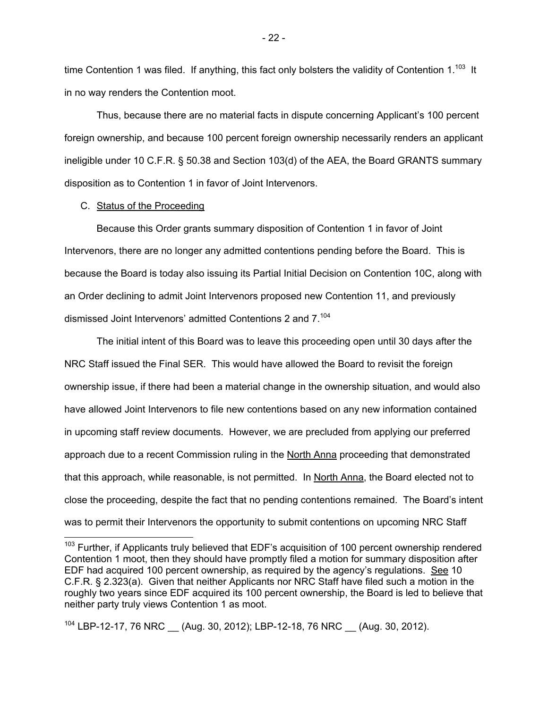time Contention 1 was filed. If anything, this fact only bolsters the validity of Contention 1.<sup>103</sup> It in no way renders the Contention moot.

 Thus, because there are no material facts in dispute concerning Applicant's 100 percent foreign ownership, and because 100 percent foreign ownership necessarily renders an applicant ineligible under 10 C.F.R. § 50.38 and Section 103(d) of the AEA, the Board GRANTS summary disposition as to Contention 1 in favor of Joint Intervenors.

### C. Status of the Proceeding

Because this Order grants summary disposition of Contention 1 in favor of Joint Intervenors, there are no longer any admitted contentions pending before the Board. This is because the Board is today also issuing its Partial Initial Decision on Contention 10C, along with an Order declining to admit Joint Intervenors proposed new Contention 11, and previously dismissed Joint Intervenors' admitted Contentions 2 and 7.104

The initial intent of this Board was to leave this proceeding open until 30 days after the NRC Staff issued the Final SER. This would have allowed the Board to revisit the foreign ownership issue, if there had been a material change in the ownership situation, and would also have allowed Joint Intervenors to file new contentions based on any new information contained in upcoming staff review documents. However, we are precluded from applying our preferred approach due to a recent Commission ruling in the North Anna proceeding that demonstrated that this approach, while reasonable, is not permitted. In North Anna, the Board elected not to close the proceeding, despite the fact that no pending contentions remained. The Board's intent was to permit their Intervenors the opportunity to submit contentions on upcoming NRC Staff

 $104$  LBP-12-17, 76 NRC  $\_\_$  (Aug. 30, 2012); LBP-12-18, 76 NRC  $\_\_$  (Aug. 30, 2012).

- 22 -

 $103$  Further, if Applicants truly believed that EDF's acquisition of 100 percent ownership rendered Contention 1 moot, then they should have promptly filed a motion for summary disposition after EDF had acquired 100 percent ownership, as required by the agency's regulations. See 10 C.F.R. § 2.323(a). Given that neither Applicants nor NRC Staff have filed such a motion in the roughly two years since EDF acquired its 100 percent ownership, the Board is led to believe that neither party truly views Contention 1 as moot.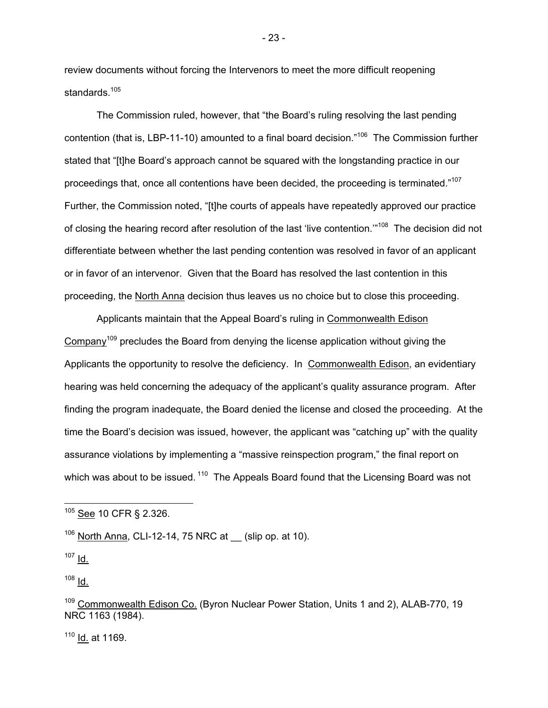review documents without forcing the Intervenors to meet the more difficult reopening standards.<sup>105</sup>

The Commission ruled, however, that "the Board's ruling resolving the last pending contention (that is, LBP-11-10) amounted to a final board decision."106 The Commission further stated that "[t]he Board's approach cannot be squared with the longstanding practice in our proceedings that, once all contentions have been decided, the proceeding is terminated."<sup>107</sup> Further, the Commission noted, "[t]he courts of appeals have repeatedly approved our practice of closing the hearing record after resolution of the last 'live contention."<sup>108</sup> The decision did not differentiate between whether the last pending contention was resolved in favor of an applicant or in favor of an intervenor. Given that the Board has resolved the last contention in this proceeding, the North Anna decision thus leaves us no choice but to close this proceeding.

Applicants maintain that the Appeal Board's ruling in Commonwealth Edison Company<sup>109</sup> precludes the Board from denying the license application without giving the Applicants the opportunity to resolve the deficiency. In Commonwealth Edison, an evidentiary hearing was held concerning the adequacy of the applicant's quality assurance program. After finding the program inadequate, the Board denied the license and closed the proceeding. At the time the Board's decision was issued, however, the applicant was "catching up" with the quality assurance violations by implementing a "massive reinspection program," the final report on which was about to be issued.<sup>110</sup> The Appeals Board found that the Licensing Board was not

 $106$  North Anna, CLI-12-14, 75 NRC at (slip op. at 10).

 $107$   $\underline{Id}$ .

 $\overline{a}$ 

 $108$   $Id_2$ 

 $110$  Id. at 1169.

- 23 -

<sup>105</sup> See 10 CFR § 2.326.

<sup>&</sup>lt;sup>109</sup> Commonwealth Edison Co. (Byron Nuclear Power Station, Units 1 and 2), ALAB-770, 19 NRC 1163 (1984).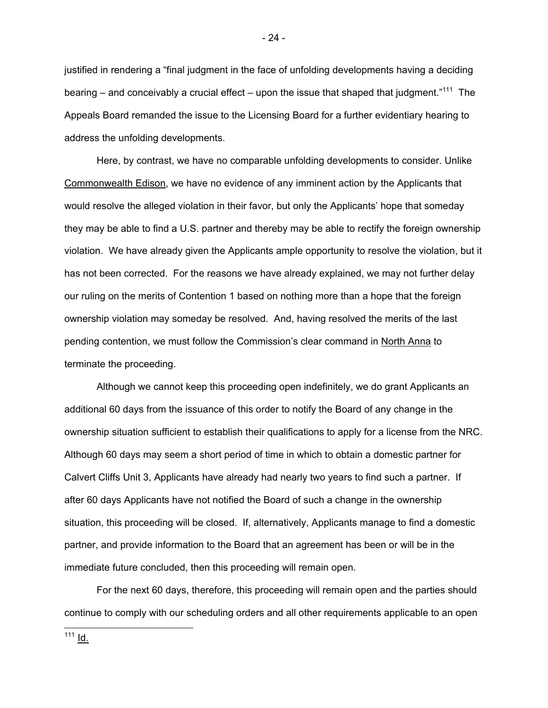justified in rendering a "final judgment in the face of unfolding developments having a deciding bearing – and conceivably a crucial effect – upon the issue that shaped that judgment."<sup>111</sup> The Appeals Board remanded the issue to the Licensing Board for a further evidentiary hearing to address the unfolding developments.

Here, by contrast, we have no comparable unfolding developments to consider. Unlike Commonwealth Edison, we have no evidence of any imminent action by the Applicants that would resolve the alleged violation in their favor, but only the Applicants' hope that someday they may be able to find a U.S. partner and thereby may be able to rectify the foreign ownership violation. We have already given the Applicants ample opportunity to resolve the violation, but it has not been corrected. For the reasons we have already explained, we may not further delay our ruling on the merits of Contention 1 based on nothing more than a hope that the foreign ownership violation may someday be resolved. And, having resolved the merits of the last pending contention, we must follow the Commission's clear command in North Anna to terminate the proceeding.

Although we cannot keep this proceeding open indefinitely, we do grant Applicants an additional 60 days from the issuance of this order to notify the Board of any change in the ownership situation sufficient to establish their qualifications to apply for a license from the NRC. Although 60 days may seem a short period of time in which to obtain a domestic partner for Calvert Cliffs Unit 3, Applicants have already had nearly two years to find such a partner. If after 60 days Applicants have not notified the Board of such a change in the ownership situation, this proceeding will be closed. If, alternatively, Applicants manage to find a domestic partner, and provide information to the Board that an agreement has been or will be in the immediate future concluded, then this proceeding will remain open.

For the next 60 days, therefore, this proceeding will remain open and the parties should continue to comply with our scheduling orders and all other requirements applicable to an open

- 24 -

-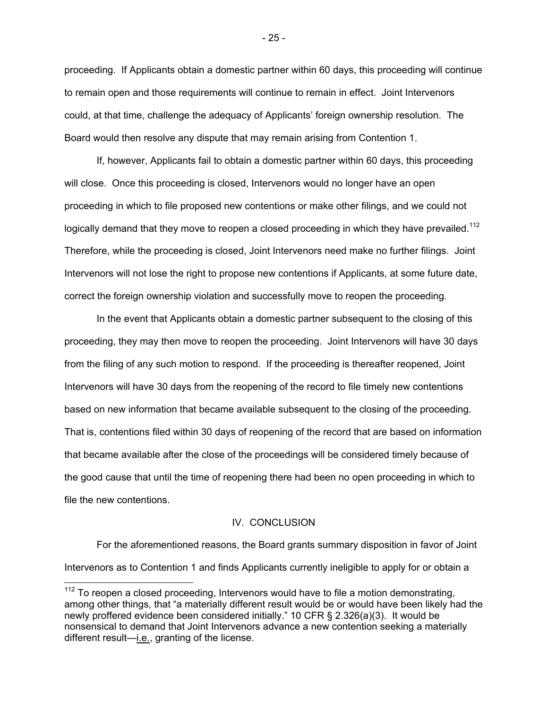proceeding. If Applicants obtain a domestic partner within 60 days, this proceeding will continue to remain open and those requirements will continue to remain in effect. Joint Intervenors could, at that time, challenge the adequacy of Applicants' foreign ownership resolution. The Board would then resolve any dispute that may remain arising from Contention 1.

If, however, Applicants fail to obtain a domestic partner within 60 days, this proceeding will close. Once this proceeding is closed, Intervenors would no longer have an open proceeding in which to file proposed new contentions or make other filings, and we could not logically demand that they move to reopen a closed proceeding in which they have prevailed.<sup>112</sup> Therefore, while the proceeding is closed, Joint Intervenors need make no further filings. Joint Intervenors will not lose the right to propose new contentions if Applicants, at some future date, correct the foreign ownership violation and successfully move to reopen the proceeding.

In the event that Applicants obtain a domestic partner subsequent to the closing of this proceeding, they may then move to reopen the proceeding. Joint Intervenors will have 30 days from the filing of any such motion to respond. If the proceeding is thereafter reopened, Joint Intervenors will have 30 days from the reopening of the record to file timely new contentions based on new information that became available subsequent to the closing of the proceeding. That is, contentions filed within 30 days of reopening of the record that are based on information that became available after the close of the proceedings will be considered timely because of the good cause that until the time of reopening there had been no open proceeding in which to file the new contentions.

### IV. CONCLUSION

 For the aforementioned reasons, the Board grants summary disposition in favor of Joint Intervenors as to Contention 1 and finds Applicants currently ineligible to apply for or obtain a

-

- 25 -

 $112$  To reopen a closed proceeding, Intervenors would have to file a motion demonstrating, among other things, that "a materially different result would be or would have been likely had the newly proffered evidence been considered initially." 10 CFR § 2.326(a)(3). It would be nonsensical to demand that Joint Intervenors advance a new contention seeking a materially different result-i.e., granting of the license.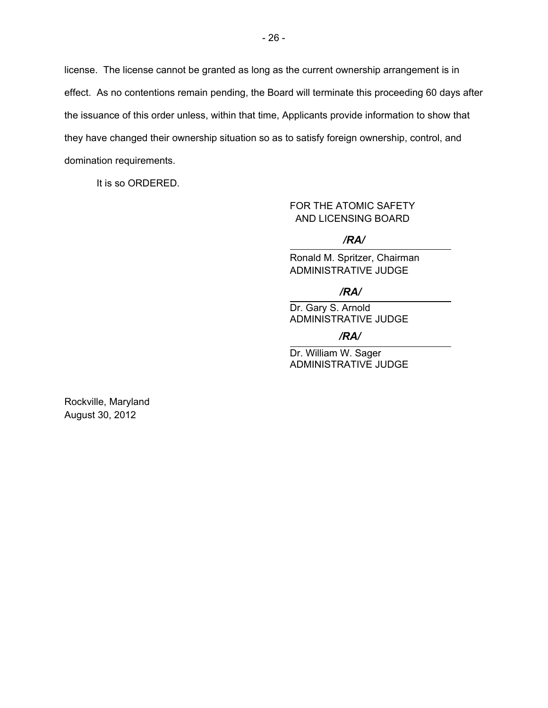license. The license cannot be granted as long as the current ownership arrangement is in effect. As no contentions remain pending, the Board will terminate this proceeding 60 days after the issuance of this order unless, within that time, Applicants provide information to show that they have changed their ownership situation so as to satisfy foreign ownership, control, and domination requirements.

It is so ORDERED.

# FOR THE ATOMIC SAFETY AND LICENSING BOARD

### */RA/*

Ronald M. Spritzer, Chairman ADMINISTRATIVE JUDGE

# */RA/*

Dr. Gary S. Arnold ADMINISTRATIVE JUDGE

#### */RA/*

Dr. William W. Sager ADMINISTRATIVE JUDGE

Rockville, Maryland August 30, 2012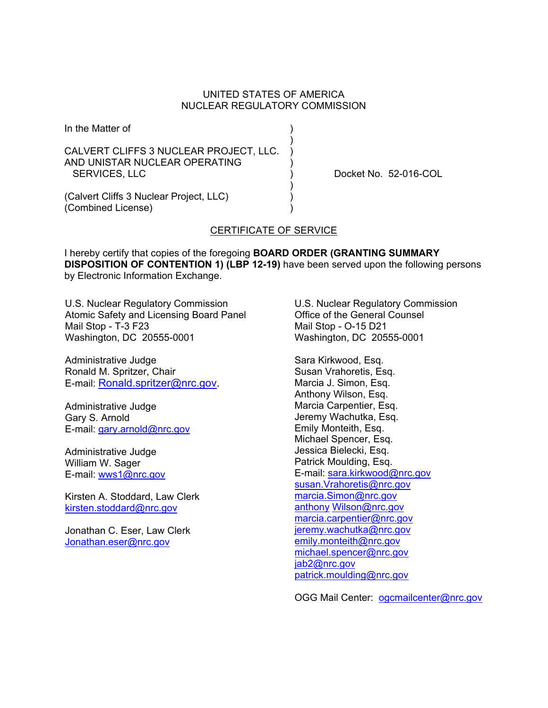### UNITED STATES OF AMERICA NUCLEAR REGULATORY COMMISSION

In the Matter of ) ) and the contract of  $\mathcal{L}$ CALVERT CLIFFS 3 NUCLEAR PROJECT, LLC. ) AND UNISTAR NUCLEAR OPERATING ) SERVICES, LLC ) Docket No. 52-016-COL ) and the contract of  $\mathcal{L}$ (Calvert Cliffs 3 Nuclear Project, LLC) )

# CERTIFICATE OF SERVICE

I hereby certify that copies of the foregoing **BOARD ORDER (GRANTING SUMMARY DISPOSITION OF CONTENTION 1) (LBP 12-19)** have been served upon the following persons by Electronic Information Exchange.

U.S. Nuclear Regulatory Commission Atomic Safety and Licensing Board Panel Mail Stop - T-3 F23 Washington, DC 20555-0001

Administrative Judge Ronald M. Spritzer, Chair E-mail: Ronald.spritzer@nrc.gov.

Administrative Judge Gary S. Arnold E-mail: gary.arnold@nrc.gov

Administrative Judge William W. Sager E-mail: wws1@nrc.gov

(Combined License) )

Kirsten A. Stoddard, Law Clerk kirsten.stoddard@nrc.gov

Jonathan C. Eser, Law Clerk Jonathan.eser@nrc.gov

U.S. Nuclear Regulatory Commission Office of the General Counsel Mail Stop - O-15 D21 Washington, DC 20555-0001

Sara Kirkwood, Esq. Susan Vrahoretis, Esq. Marcia J. Simon, Esq. Anthony Wilson, Esq. Marcia Carpentier, Esq. Jeremy Wachutka, Esq. Emily Monteith, Esq. Michael Spencer, Esq. Jessica Bielecki, Esq. Patrick Moulding, Esq. E-mail: sara.kirkwood@nrc.gov susan.Vrahoretis@nrc.gov marcia.Simon@nrc.gov anthony Wilson@nrc.gov marcia.carpentier@nrc.gov jeremy.wachutka@nrc.gov emily.monteith@nrc.gov michael.spencer@nrc.gov jab2@nrc.gov patrick.moulding@nrc.gov

OGG Mail Center: ogcmailcenter@nrc.gov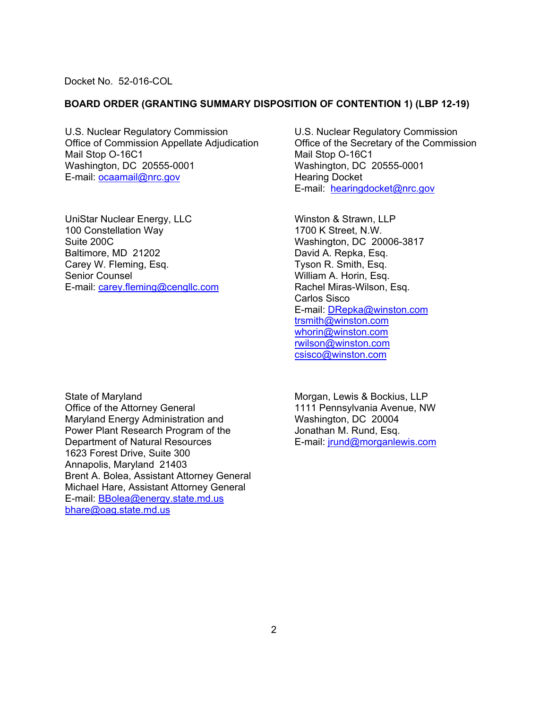Docket No. 52-016-COL

#### **BOARD ORDER (GRANTING SUMMARY DISPOSITION OF CONTENTION 1) (LBP 12-19)**

U.S. Nuclear Regulatory Commission Office of Commission Appellate Adjudication Mail Stop O-16C1 Washington, DC 20555-0001 E-mail: ocaamail@nrc.gov

UniStar Nuclear Energy, LLC 100 Constellation Way Suite 200C Baltimore, MD 21202 Carey W. Fleming, Esq. Senior Counsel E-mail: carey.fleming@cengllc.com

State of Maryland Office of the Attorney General Maryland Energy Administration and Power Plant Research Program of the Department of Natural Resources 1623 Forest Drive, Suite 300 Annapolis, Maryland 21403 Brent A. Bolea, Assistant Attorney General Michael Hare, Assistant Attorney General E-mail: BBolea@energy.state.md.us bhare@oag.state.md.us

U.S. Nuclear Regulatory Commission Office of the Secretary of the Commission Mail Stop O-16C1 Washington, DC 20555-0001 Hearing Docket E-mail: hearingdocket@nrc.gov

Winston & Strawn, LLP 1700 K Street, N.W. Washington, DC 20006-3817 David A. Repka, Esq. Tyson R. Smith, Esq. William A. Horin, Esq. Rachel Miras-Wilson, Esq. Carlos Sisco E-mail: DRepka@winston.com trsmith@winston.com whorin@winston.com rwilson@winston.com csisco@winston.com

Morgan, Lewis & Bockius, LLP 1111 Pennsylvania Avenue, NW Washington, DC 20004 Jonathan M. Rund, Esq. E-mail: jrund@morganlewis.com